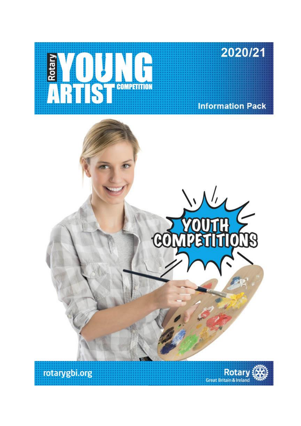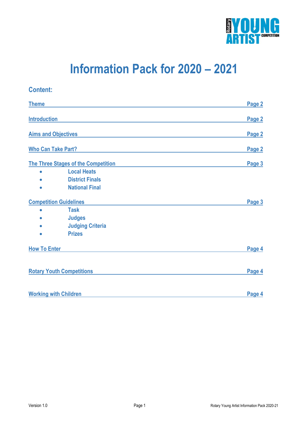

# **Information Pack for 2020 – 2021**

### **Content: Theme** Page 2 **Introduction** Page 2 **Aims and Objectives Page 2 Page 2 Page 2 Page 2 Page 2 The Three Stages of the Competition Page 3 Local Heats District Finals National Final Competition Guidelines** Page 3 **Task Judges Judging Criteria Prizes How To Enter Page 4 Rotary Youth Competitions Page 4 Working with Children Page 4**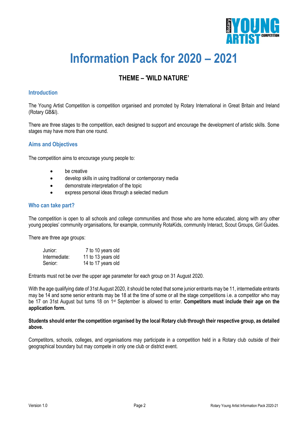

# **Information Pack for 2020 – 2021**

### **THEME – 'WILD NATURE'**

#### **Introduction**

The Young Artist Competition is competition organised and promoted by Rotary International in Great Britain and Ireland (Rotary GB&I).

There are three stages to the competition, each designed to support and encourage the development of artistic skills. Some stages may have more than one round.

#### **Aims and Objectives**

The competition aims to encourage young people to:

- **be creative**
- develop skills in using traditional or contemporary media
- demonstrate interpretation of the topic
- express personal ideas through a selected medium

#### **Who can take part?**

The competition is open to all schools and college communities and those who are home educated, along with any other young peoples' community organisations, for example, community RotaKids, community Interact, Scout Groups, Girl Guides.

There are three age groups:

| Junior:       | 7 to 10 years old  |
|---------------|--------------------|
| Intermediate: | 11 to 13 years old |
| Senior:       | 14 to 17 years old |

Entrants must not be over the upper age parameter for each group on 31 August 2020.

With the age qualifying date of 31st August 2020, it should be noted that some junior entrants may be 11, intermediate entrants may be 14 and some senior entrants may be 18 at the time of some or all the stage competitions i.e. a competitor who may be 17 on 31st August but turns 18 on 1st September is allowed to enter. **Competitors must include their age on the application form.**

#### **Students should enter the competition organised by the local Rotary club through their respective group, as detailed above.**

Competitors, schools, colleges, and organisations may participate in a competition held in a Rotary club outside of their geographical boundary but may compete in only one club or district event.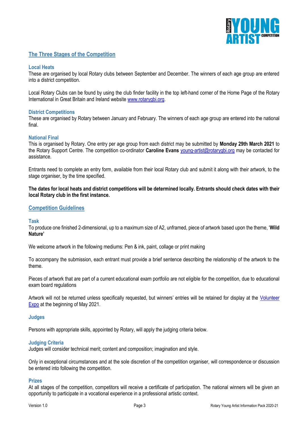

#### **The Three Stages of the Competition**

#### **Local Heats**

These are organised by local Rotary clubs between September and December. The winners of each age group are entered into a district competition.

Local Rotary Clubs can be found by using the club finder facility in the top left-hand corner of the Home Page of the Rotary International in Great Britain and Ireland website [www.rotarygbi.org.](http://www.rotarygbi.org/)

#### **District Competitions**

These are organised by Rotary between January and February. The winners of each age group are entered into the national final.

#### **National Final**

This is organised by Rotary. One entry per age group from each district may be submitted by **Monday 29th March 2021** to the Rotary Support Centre. The competition co-ordinator **Caroline Evans** [young-artist@rotarygbi.org](mailto:young-artist@rotarygbi.org) may be contacted for assistance.

Entrants need to complete an entry form, available from their local Rotary club and submit it along with their artwork, to the stage organiser, by the time specified.

**The dates for local heats and district competitions will be determined locally. Entrants should check dates with their local Rotary club in the first instance.**

#### **Competition Guidelines**

#### **Task**

To produce one finished 2-dimensional, up to a maximum size of A2, unframed, piece of artwork based upon the theme, '**Wild Nature'**

We welcome artwork in the following mediums: Pen & ink, paint, collage or print making

To accompany the submission, each entrant must provide a brief sentence describing the relationship of the artwork to the theme.

Pieces of artwork that are part of a current educational exam portfolio are not eligible for the competition, due to educational exam board regulations

Artwork will not be returned unless specifically requested, but winners' entries will be retained for display at the [Volunteer](https://www.volunteerexpo.co.uk/) [Expo](https://www.volunteerexpo.co.uk/) at the beginning of May 2021.

#### **Judges**

Persons with appropriate skills, appointed by Rotary, will apply the judging criteria below.

#### **Judging Criteria**

Judges will consider technical merit; content and composition; imagination and style.

Only in exceptional circumstances and at the sole discretion of the competition organiser, will correspondence or discussion be entered into following the competition.

#### **Prizes**

At all stages of the competition, competitors will receive a certificate of participation. The national winners will be given an opportunity to participate in a vocational experience in a professional artistic context.